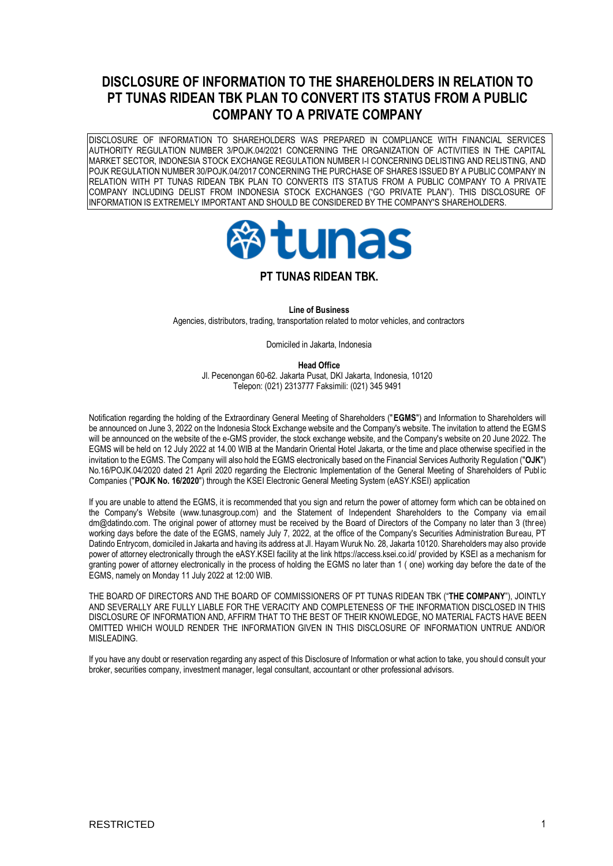# **DISCLOSURE OF INFORMATION TO THE SHAREHOLDERS IN RELATION TO PT TUNAS RIDEAN TBK PLAN TO CONVERT ITS STATUS FROM A PUBLIC COMPANY TO A PRIVATE COMPANY**

DISCLOSURE OF INFORMATION TO SHAREHOLDERS WAS PREPARED IN COMPLIANCE WITH FINANCIAL SERVICES AUTHORITY REGULATION NUMBER 3/POJK.04/2021 CONCERNING THE ORGANIZATION OF ACTIVITIES IN THE CAPITAL MARKET SECTOR, INDONESIA STOCK EXCHANGE REGULATION NUMBER I-I CONCERNING DELISTING AND RELISTING, AND POJK REGULATION NUMBER 30/POJK.04/2017 CONCERNING THE PURCHASE OF SHARES ISSUED BY A PUBLIC COMPANY IN RELATION WITH PT TUNAS RIDEAN TBK PLAN TO CONVERTS ITS STATUS FROM A PUBLIC COMPANY TO A PRIVATE COMPANY INCLUDING DELIST FROM INDONESIA STOCK EXCHANGES ("GO PRIVATE PLAN"). THIS DISCLOSURE OF INFORMATION IS EXTREMELY IMPORTANT AND SHOULD BE CONSIDERED BY THE COMPANY'S SHAREHOLDERS.



# **PT TUNAS RIDEAN TBK.**

**Line of Business**

Agencies, distributors, trading, transportation related to motor vehicles, and contractors

Domiciled in Jakarta, Indonesia

**Head Office**

Jl. Pecenongan 60-62. Jakarta Pusat, DKI Jakarta, Indonesia, 10120 Telepon: (021) 2313777 Faksimili: (021) 345 9491

Notification regarding the holding of the Extraordinary General Meeting of Shareholders ("**EGMS**") and Information to Shareholders will be announced on June 3, 2022 on the Indonesia Stock Exchange website and the Company's website. The invitation to attend the EGMS will be announced on the website of the e-GMS provider, the stock exchange website, and the Company's website on 20 June 2022. The EGMS will be held on 12 July 2022 at 14.00 WIB at the Mandarin Oriental Hotel Jakarta, or the time and place otherwise specified in the invitation to the EGMS. The Company will also hold the EGMS electronically based on the Financial Services Authority Regulation ("**OJK**") No.16/POJK.04/2020 dated 21 April 2020 regarding the Electronic Implementation of the General Meeting of Shareholders of Publ ic Companies ("**POJK No. 16/2020**") through the KSEI Electronic General Meeting System (eASY.KSEI) application

If you are unable to attend the EGMS, it is recommended that you sign and return the power of attorney form which can be obtained on the Company's Website (www.tunasgroup.com) and the Statement of Independent Shareholders to the Company via email dm@datindo.com. The original power of attorney must be received by the Board of Directors of the Company no later than 3 (three) working days before the date of the EGMS, namely July 7, 2022, at the office of the Company's Securities Administration Bureau, PT Datindo Entrycom, domiciled in Jakarta and having its address at Jl. Hayam Wuruk No. 28, Jakarta 10120. Shareholders may also provide power of attorney electronically through the eASY.KSEI facility at the link https://access.ksei.co.id/ provided by KSEI as a mechanism for granting power of attorney electronically in the process of holding the EGMS no later than 1 ( one) working day before the date of the EGMS, namely on Monday 11 July 2022 at 12:00 WIB.

THE BOARD OF DIRECTORS AND THE BOARD OF COMMISSIONERS OF PT TUNAS RIDEAN TBK ("**THE COMPANY**"), JOINTLY AND SEVERALLY ARE FULLY LIABLE FOR THE VERACITY AND COMPLETENESS OF THE INFORMATION DISCLOSED IN THIS DISCLOSURE OF INFORMATION AND, AFFIRM THAT TO THE BEST OF THEIR KNOWLEDGE, NO MATERIAL FACTS HAVE BEEN OMITTED WHICH WOULD RENDER THE INFORMATION GIVEN IN THIS DISCLOSURE OF INFORMATION UNTRUE AND/OR MISLEADING.

If you have any doubt or reservation regarding any aspect of this Disclosure of Information or what action to take, you should consult your broker, securities company, investment manager, legal consultant, accountant or other professional advisors.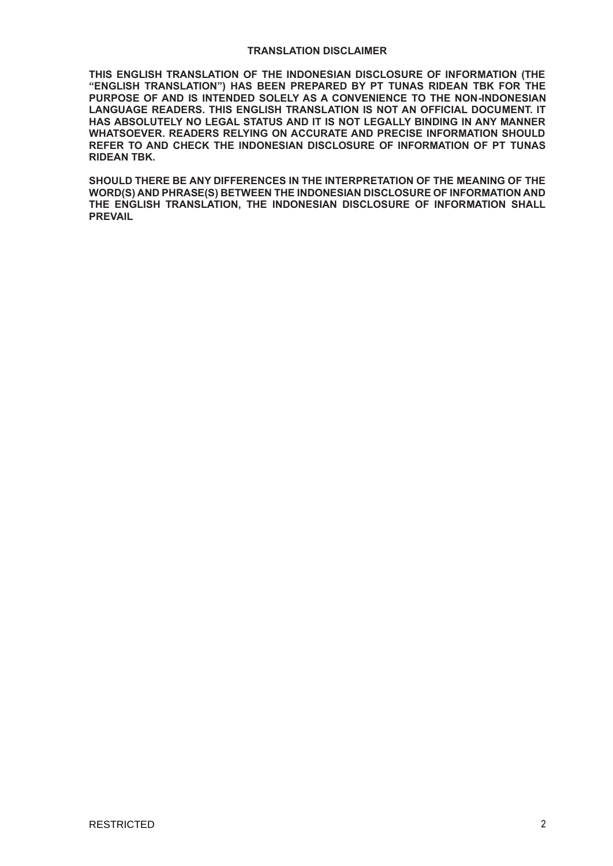### **TRANSLATION DISCLAIMER**

**THIS ENGLISH TRANSLATION OF THE INDONESIAN DISCLOSURE OF INFORMATION (THE "ENGLISH TRANSLATION") HAS BEEN PREPARED BY PT TUNAS RIDEAN TBK FOR THE PURPOSE OF AND IS INTENDED SOLELY AS A CONVENIENCE TO THE NON-INDONESIAN LANGUAGE READERS. THIS ENGLISH TRANSLATION IS NOT AN OFFICIAL DOCUMENT. IT HAS ABSOLUTELY NO LEGAL STATUS AND IT IS NOT LEGALLY BINDING IN ANY MANNER WHATSOEVER. READERS RELYING ON ACCURATE AND PRECISE INFORMATION SHOULD REFER TO AND CHECK THE INDONESIAN DISCLOSURE OF INFORMATION OF PT TUNAS RIDEAN TBK.**

**SHOULD THERE BE ANY DIFFERENCES IN THE INTERPRETATION OF THE MEANING OF THE WORD(S) AND PHRASE(S) BETWEEN THE INDONESIAN DISCLOSURE OF INFORMATION AND THE ENGLISH TRANSLATION, THE INDONESIAN DISCLOSURE OF INFORMATION SHALL PREVAIL**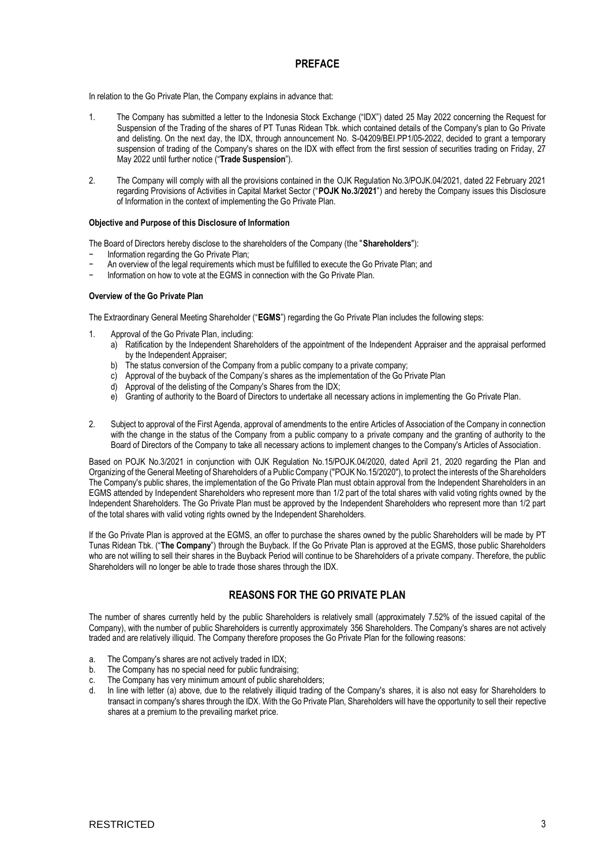### **PREFACE**

In relation to the Go Private Plan, the Company explains in advance that:

- 1. The Company has submitted a letter to the Indonesia Stock Exchange ("IDX") dated 25 May 2022 concerning the Request for Suspension of the Trading of the shares of PT Tunas Ridean Tbk. which contained details of the Company's plan to Go Private and delisting. On the next day, the IDX, through announcement No. S-04209/BEI.PP1/05-2022, decided to grant a temporary suspension of trading of the Company's shares on the IDX with effect from the first session of securities trading on Friday, 27 May 2022 until further notice ("**Trade Suspension**").
- 2. The Company will comply with all the provisions contained in the OJK Regulation No.3/POJK.04/2021, dated 22 February 2021 regarding Provisions of Activities in Capital Market Sector ("**POJK No.3/2021**") and hereby the Company issues this Disclosure of Information in the context of implementing the Go Private Plan.

### **Objective and Purpose of this Disclosure of Information**

The Board of Directors hereby disclose to the shareholders of the Company (the "**Shareholders**"):

- − Information regarding the Go Private Plan;
- An overview of the legal requirements which must be fulfilled to execute the Go Private Plan; and
- − Information on how to vote at the EGMS in connection with the Go Private Plan.

### **Overview of the Go Private Plan**

The Extraordinary General Meeting Shareholder ("**EGMS**") regarding the Go Private Plan includes the following steps:

- 1. Approval of the Go Private Plan, including:
	- a) Ratification by the Independent Shareholders of the appointment of the Independent Appraiser and the appraisal performed by the Independent Appraiser;
	- b) The status conversion of the Company from a public company to a private company;
	- c) Approval of the buyback of the Company's shares as the implementation of the Go Private Plan<br>d) Approval of the delisting of the Company's Shares from the IDX:
	- Approval of the delisting of the Company's Shares from the IDX;
	- e) Granting of authority to the Board of Directors to undertake all necessary actions in implementing the Go Private Plan.
- 2. Subject to approval of the First Agenda, approval of amendments to the entire Articles of Association of the Company in connection with the change in the status of the Company from a public company to a private company and the granting of authority to the Board of Directors of the Company to take all necessary actions to implement changes to the Company's Articles of Association.

Based on POJK No.3/2021 in conjunction with OJK Regulation No.15/POJK.04/2020, dated April 21, 2020 regarding the Plan and Organizing of the General Meeting of Shareholders of a Public Company ("POJK No.15/2020"), to protect the interests of the Shareholders The Company's public shares, the implementation of the Go Private Plan must obtain approval from the Independent Shareholders in an EGMS attended by Independent Shareholders who represent more than 1/2 part of the total shares with valid voting rights owned by the Independent Shareholders. The Go Private Plan must be approved by the Independent Shareholders who represent more than 1/2 part of the total shares with valid voting rights owned by the Independent Shareholders.

If the Go Private Plan is approved at the EGMS, an offer to purchase the shares owned by the public Shareholders will be made by PT Tunas Ridean Tbk. ("**The Company**") through the Buyback. If the Go Private Plan is approved at the EGMS, those public Shareholders who are not willing to sell their shares in the Buyback Period will continue to be Shareholders of a private company. Therefore, the public Shareholders will no longer be able to trade those shares through the IDX.

# **REASONS FOR THE GO PRIVATE PLAN**

The number of shares currently held by the public Shareholders is relatively small (approximately 7.52% of the issued capital of the Company), with the number of public Shareholders is currently approximately 356 Shareholders. The Company's shares are not actively traded and are relatively illiquid. The Company therefore proposes the Go Private Plan for the following reasons:

- a. The Company's shares are not actively traded in IDX;
- b. The Company has no special need for public fundraising;
- c. The Company has very minimum amount of public shareholders;
- d. In line with letter (a) above, due to the relatively illiquid trading of the Company's shares, it is also not easy for Shareholders to transact in company's shares through the IDX. With the Go Private Plan, Shareholders will have the opportunity to sell their repective shares at a premium to the prevailing market price.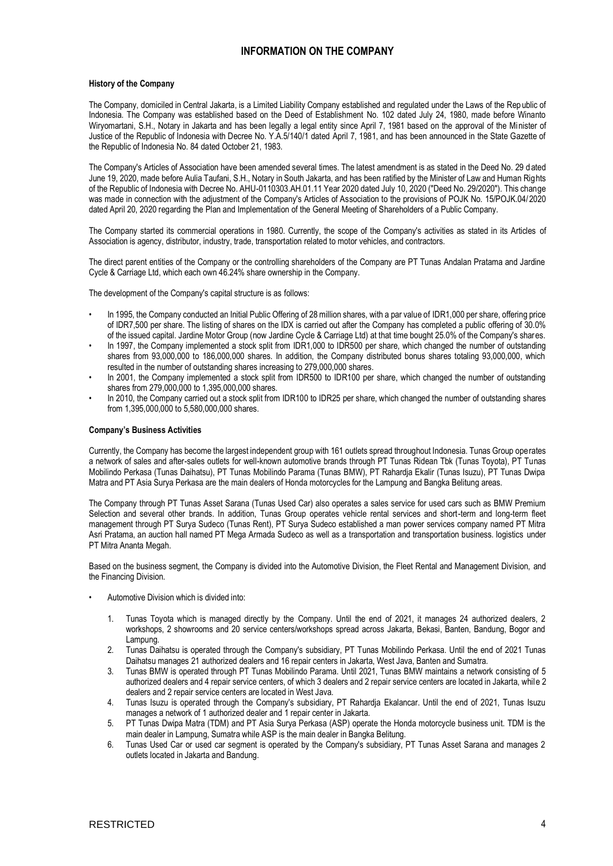# **INFORMATION ON THE COMPANY**

#### **History of the Company**

The Company, domiciled in Central Jakarta, is a Limited Liability Company established and regulated under the Laws of the Rep ublic of Indonesia. The Company was established based on the Deed of Establishment No. 102 dated July 24, 1980, made before Winanto Wiryomartani, S.H., Notary in Jakarta and has been legally a legal entity since April 7, 1981 based on the approval of the Minister of Justice of the Republic of Indonesia with Decree No. Y.A.5/140/1 dated April 7, 1981, and has been announced in the State Gazette of the Republic of Indonesia No. 84 dated October 21, 1983.

The Company's Articles of Association have been amended several times. The latest amendment is as stated in the Deed No. 29 d ated June 19, 2020, made before Aulia Taufani, S.H., Notary in South Jakarta, and has been ratified by the Minister of Law and Human Rights of the Republic of Indonesia with Decree No. AHU-0110303.AH.01.11 Year 2020 dated July 10, 2020 ("Deed No. 29/2020"). This change was made in connection with the adjustment of the Company's Articles of Association to the provisions of POJK No. 15/POJK.04/2020 dated April 20, 2020 regarding the Plan and Implementation of the General Meeting of Shareholders of a Public Company.

The Company started its commercial operations in 1980. Currently, the scope of the Company's activities as stated in its Articles of Association is agency, distributor, industry, trade, transportation related to motor vehicles, and contractors.

The direct parent entities of the Company or the controlling shareholders of the Company are PT Tunas Andalan Pratama and Jardine Cycle & Carriage Ltd, which each own 46.24% share ownership in the Company.

The development of the Company's capital structure is as follows:

- In 1995, the Company conducted an Initial Public Offering of 28 million shares, with a par value of IDR1,000 per share, offering price of IDR7,500 per share. The listing of shares on the IDX is carried out after the Company has completed a public offering of 30.0% of the issued capital. Jardine Motor Group (now Jardine Cycle & Carriage Ltd) at that time bought 25.0% of the Company's shares.
- In 1997, the Company implemented a stock split from IDR1,000 to IDR500 per share, which changed the number of outstanding shares from 93,000,000 to 186,000,000 shares. In addition, the Company distributed bonus shares totaling 93,000,000, which resulted in the number of outstanding shares increasing to 279,000,000 shares.
- In 2001, the Company implemented a stock split from IDR500 to IDR100 per share, which changed the number of outstanding shares from 279,000,000 to 1,395,000,000 shares.
- In 2010, the Company carried out a stock split from IDR100 to IDR25 per share, which changed the number of outstanding shares from 1,395,000,000 to 5,580,000,000 shares.

### **Company's Business Activities**

Currently, the Company has become the largest independent group with 161 outlets spread throughout Indonesia. Tunas Group operates a network of sales and after-sales outlets for well-known automotive brands through PT Tunas Ridean Tbk (Tunas Toyota), PT Tunas Mobilindo Perkasa (Tunas Daihatsu), PT Tunas Mobilindo Parama (Tunas BMW), PT Rahardja Ekalir (Tunas Isuzu), PT Tunas Dwipa Matra and PT Asia Surya Perkasa are the main dealers of Honda motorcycles for the Lampung and Bangka Belitung areas.

The Company through PT Tunas Asset Sarana (Tunas Used Car) also operates a sales service for used cars such as BMW Premium Selection and several other brands. In addition, Tunas Group operates vehicle rental services and short-term and long-term fleet management through PT Surya Sudeco (Tunas Rent), PT Surya Sudeco established a man power services company named PT Mitra Asri Pratama, an auction hall named PT Mega Armada Sudeco as well as a transportation and transportation business. logistics under PT Mitra Ananta Megah.

Based on the business segment, the Company is divided into the Automotive Division, the Fleet Rental and Management Division, and the Financing Division.

- Automotive Division which is divided into:
	- 1. Tunas Toyota which is managed directly by the Company. Until the end of 2021, it manages 24 authorized dealers, 2 workshops, 2 showrooms and 20 service centers/workshops spread across Jakarta, Bekasi, Banten, Bandung, Bogor and Lampung.
	- 2. Tunas Daihatsu is operated through the Company's subsidiary, PT Tunas Mobilindo Perkasa. Until the end of 2021 Tunas Daihatsu manages 21 authorized dealers and 16 repair centers in Jakarta, West Java, Banten and Sumatra.
	- 3. Tunas BMW is operated through PT Tunas Mobilindo Parama. Until 2021, Tunas BMW maintains a network consisting of 5 authorized dealers and 4 repair service centers, of which 3 dealers and 2 repair service centers are located in Jakarta, while 2 dealers and 2 repair service centers are located in West Java.
	- 4. Tunas Isuzu is operated through the Company's subsidiary, PT Rahardja Ekalancar. Until the end of 2021, Tunas Isuzu manages a network of 1 authorized dealer and 1 repair center in Jakarta.
	- 5. PT Tunas Dwipa Matra (TDM) and PT Asia Surya Perkasa (ASP) operate the Honda motorcycle business unit. TDM is the main dealer in Lampung, Sumatra while ASP is the main dealer in Bangka Belitung.
	- 6. Tunas Used Car or used car segment is operated by the Company's subsidiary, PT Tunas Asset Sarana and manages 2 outlets located in Jakarta and Bandung.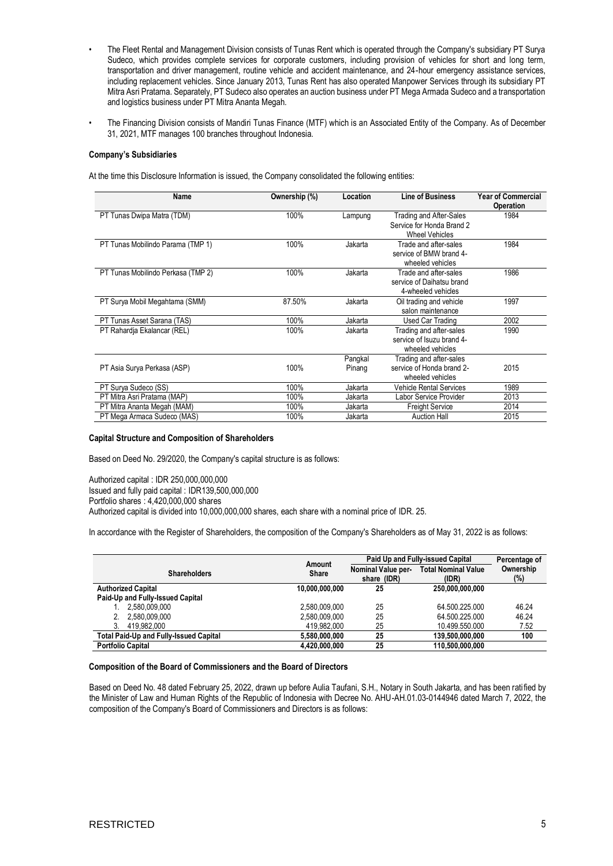- The Fleet Rental and Management Division consists of Tunas Rent which is operated through the Company's subsidiary PT Surya Sudeco, which provides complete services for corporate customers, including provision of vehicles for short and long term, transportation and driver management, routine vehicle and accident maintenance, and 24-hour emergency assistance services, including replacement vehicles. Since January 2013, Tunas Rent has also operated Manpower Services through its subsidiary PT Mitra Asri Pratama. Separately, PT Sudeco also operates an auction business under PT Mega Armada Sudeco and a transportation and logistics business under PT Mitra Ananta Megah.
- The Financing Division consists of Mandiri Tunas Finance (MTF) which is an Associated Entity of the Company. As of December 31, 2021, MTF manages 100 branches throughout Indonesia.

### **Company's Subsidiaries**

At the time this Disclosure Information is issued, the Company consolidated the following entities:

| Name                               | Ownership (%) | Location          | <b>Line of Business</b>                                                       | <b>Year of Commercial</b><br><b>Operation</b> |
|------------------------------------|---------------|-------------------|-------------------------------------------------------------------------------|-----------------------------------------------|
| PT Tunas Dwipa Matra (TDM)         | 100%          | Lampung           | Trading and After-Sales<br>Service for Honda Brand 2<br><b>Wheel Vehicles</b> | 1984                                          |
| PT Tunas Mobilindo Parama (TMP 1)  | 100%          | Jakarta           | Trade and after-sales<br>service of BMW brand 4-<br>wheeled vehicles          | 1984                                          |
| PT Tunas Mobilindo Perkasa (TMP 2) | 100%          | Jakarta           | Trade and after-sales<br>service of Daihatsu brand<br>4-wheeled vehicles      | 1986                                          |
| PT Surya Mobil Megahtama (SMM)     | 87.50%        | Jakarta           | Oil trading and vehicle<br>salon maintenance                                  | 1997                                          |
| PT Tunas Asset Sarana (TAS)        | 100%          | Jakarta           | Used Car Trading                                                              | 2002                                          |
| PT Rahardia Ekalancar (REL)        | 100%          | Jakarta           | Trading and after-sales<br>service of Isuzu brand 4-<br>wheeled vehicles      | 1990                                          |
| PT Asia Surya Perkasa (ASP)        | 100%          | Pangkal<br>Pinang | Trading and after-sales<br>service of Honda brand 2-<br>wheeled vehicles      | 2015                                          |
| PT Surya Sudeco (SS)               | 100%          | Jakarta           | <b>Vehicle Rental Services</b>                                                | 1989                                          |
| PT Mitra Asri Pratama (MAP)        | 100%          | Jakarta           | Labor Service Provider                                                        | 2013                                          |
| PT Mitra Ananta Megah (MAM)        | 100%          | Jakarta           | <b>Freight Service</b>                                                        | 2014                                          |
| PT Mega Armaca Sudeco (MAS)        | 100%          | Jakarta           | <b>Auction Hall</b>                                                           | 2015                                          |

#### **Capital Structure and Composition of Shareholders**

Based on Deed No. 29/2020, the Company's capital structure is as follows:

Authorized capital : IDR 250,000,000,000 Issued and fully paid capital : IDR139,500,000,000 Portfolio shares : 4,420,000,000 shares Authorized capital is divided into 10,000,000,000 shares, each share with a nominal price of IDR. 25.

In accordance with the Register of Shareholders, the composition of the Company's Shareholders as of May 31, 2022 is as follows:

|                                               | Amount         | <b>Paid Up and Fully-issued Capital</b> |                                     | Percentage of       |  |
|-----------------------------------------------|----------------|-----------------------------------------|-------------------------------------|---------------------|--|
| <b>Shareholders</b>                           | <b>Share</b>   | Nominal Value per-<br>share (IDR)       | <b>Total Nominal Value</b><br>(IDR) | Ownership<br>$(\%)$ |  |
| <b>Authorized Capital</b>                     | 10.000.000.000 | 25                                      | 250.000.000.000                     |                     |  |
| Paid-Up and Fully-Issued Capital              |                |                                         |                                     |                     |  |
| 2.580.009.000                                 | 2.580.009.000  | 25                                      | 64.500.225.000                      | 46.24               |  |
| 2.580.009.000                                 | 2.580.009.000  | 25                                      | 64.500.225.000                      | 46.24               |  |
| 3.<br>419.982.000                             | 419.982.000    | 25                                      | 10.499.550.000                      | 7.52                |  |
| <b>Total Paid-Up and Fully-Issued Capital</b> | 5.580.000.000  | 25                                      | 139.500.000.000                     | 100                 |  |
| <b>Portfolio Capital</b>                      | 4.420.000.000  | 25                                      | 110.500.000.000                     |                     |  |

#### **Composition of the Board of Commissioners and the Board of Directors**

Based on Deed No. 48 dated February 25, 2022, drawn up before Aulia Taufani, S.H., Notary in South Jakarta, and has been ratified by the Minister of Law and Human Rights of the Republic of Indonesia with Decree No. AHU-AH.01.03-0144946 dated March 7, 2022, the composition of the Company's Board of Commissioners and Directors is as follows: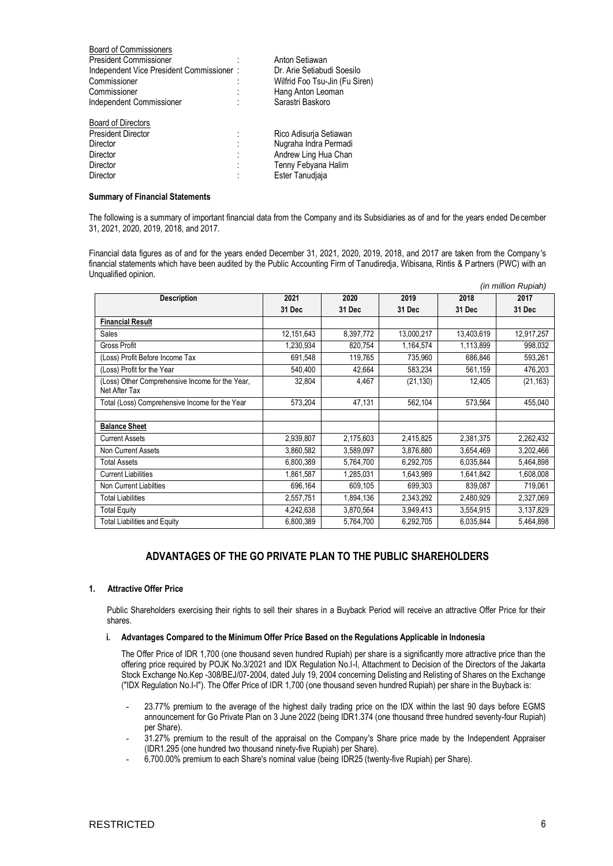| <b>Board of Commissioners</b>            |   |                                |
|------------------------------------------|---|--------------------------------|
| <b>President Commissioner</b>            |   | Anton Setiawan                 |
| Independent Vice President Commissioner: |   | Dr. Arie Setiabudi Soesilo     |
| Commissioner                             | ٠ | Wilfrid Foo Tsu-Jin (Fu Siren) |
| Commissioner                             |   | Hang Anton Leoman              |
| Independent Commissioner                 |   | Sarastri Baskoro               |
| <b>Board of Directors</b>                |   |                                |
| <b>President Director</b>                |   | Rico Adisurja Setiawan         |
| Director                                 |   | Nugraha Indra Permadi          |
| Director                                 |   | Andrew Ling Hua Chan           |
| Director                                 |   | Tenny Febyana Halim            |
| Director                                 |   | Ester Tanudiaia                |
|                                          |   |                                |

#### **Summary of Financial Statements**

The following is a summary of important financial data from the Company and its Subsidiaries as of and for the years ended December 31, 2021, 2020, 2019, 2018, and 2017.

Financial data figures as of and for the years ended December 31, 2021, 2020, 2019, 2018, and 2017 are taken from the Company 's financial statements which have been audited by the Public Accounting Firm of Tanudiredja, Wibisana, Rintis & Partners (PWC) with an Unqualified opinion.

|                                                                  |            |           |            |            | (in million Rupiah) |
|------------------------------------------------------------------|------------|-----------|------------|------------|---------------------|
| <b>Description</b>                                               | 2021       | 2020      | 2019       | 2018       | 2017                |
|                                                                  | 31 Dec     | 31 Dec    | 31 Dec     | 31 Dec     | 31 Dec              |
| <b>Financial Result</b>                                          |            |           |            |            |                     |
| Sales                                                            | 12,151,643 | 8,397,772 | 13,000,217 | 13,403,619 | 12,917,257          |
| <b>Gross Profit</b>                                              | 1,230,934  | 820,754   | 1,164,574  | 1,113,899  | 998,032             |
| (Loss) Profit Before Income Tax                                  | 691,548    | 119,765   | 735,960    | 686,846    | 593,261             |
| (Loss) Profit for the Year                                       | 540,400    | 42,664    | 583,234    | 561,159    | 476,203             |
| (Loss) Other Comprehensive Income for the Year,<br>Net After Tax | 32,804     | 4,467     | (21, 130)  | 12,405     | (21, 163)           |
| Total (Loss) Comprehensive Income for the Year                   | 573,204    | 47,131    | 562,104    | 573,564    | 455,040             |
|                                                                  |            |           |            |            |                     |
| <b>Balance Sheet</b>                                             |            |           |            |            |                     |
| <b>Current Assets</b>                                            | 2,939,807  | 2,175,603 | 2,415,825  | 2,381,375  | 2,262,432           |
| Non Current Assets                                               | 3,860,582  | 3,589,097 | 3,876,880  | 3,654,469  | 3,202,466           |
| <b>Total Assets</b>                                              | 6,800,389  | 5,764,700 | 6,292,705  | 6,035,844  | 5,464,898           |
| <b>Current Liabilities</b>                                       | 1,861,587  | 1,285,031 | 1,643,989  | 1,641,842  | 1,608,008           |
| Non Current Liabilties                                           | 696,164    | 609,105   | 699,303    | 839,087    | 719,061             |
| <b>Total Liabilities</b>                                         | 2,557,751  | 1,894,136 | 2,343,292  | 2,480,929  | 2,327,069           |
| <b>Total Equity</b>                                              | 4,242,638  | 3,870,564 | 3,949,413  | 3,554,915  | 3,137,829           |
| <b>Total Liabilities and Equity</b>                              | 6,800,389  | 5,764,700 | 6,292,705  | 6,035,844  | 5,464,898           |

# **ADVANTAGES OF THE GO PRIVATE PLAN TO THE PUBLIC SHAREHOLDERS**

### **1. Attractive Offer Price**

Public Shareholders exercising their rights to sell their shares in a Buyback Period will receive an attractive Offer Price for their shares.

#### **i. Advantages Compared to the Minimum Offer Price Based on the Regulations Applicable in Indonesia**

The Offer Price of IDR 1,700 (one thousand seven hundred Rupiah) per share is a significantly more attractive price than the offering price required by POJK No.3/2021 and IDX Regulation No.I-I, Attachment to Decision of the Directors of the Jakarta Stock Exchange No.Kep -308/BEJ/07-2004, dated July 19, 2004 concerning Delisting and Relisting of Shares on the Exchange ("IDX Regulation No.I-I"). The Offer Price of IDR 1,700 (one thousand seven hundred Rupiah) per share in the Buyback is:

- 23.77% premium to the average of the highest daily trading price on the IDX within the last 90 days before EGMS announcement for Go Private Plan on 3 June 2022 (being IDR1.374 (one thousand three hundred seventy-four Rupiah) per Share).
- 31.27% premium to the result of the appraisal on the Company's Share price made by the Independent Appraiser (IDR1.295 (one hundred two thousand ninety-five Rupiah) per Share).
- 6,700.00% premium to each Share's nominal value (being IDR25 (twenty-five Rupiah) per Share).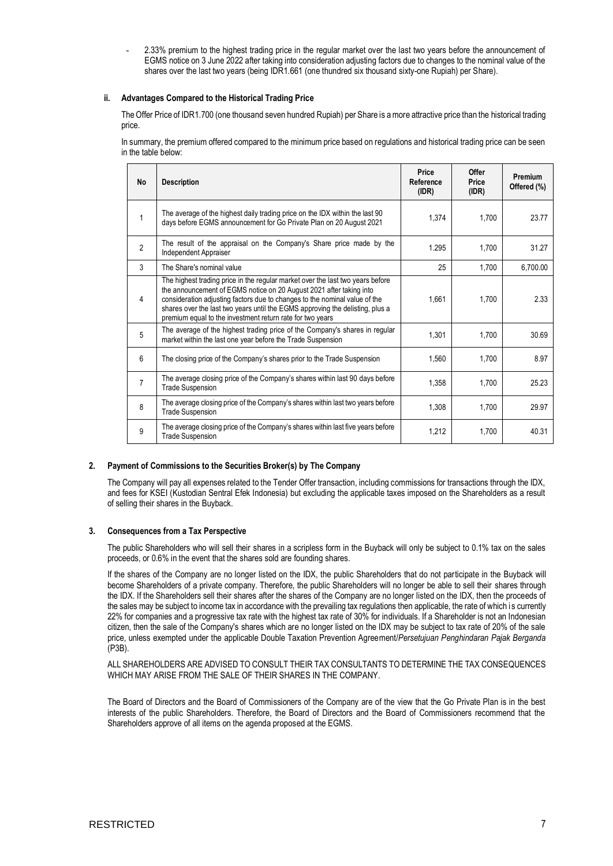- 2.33% premium to the highest trading price in the regular market over the last two years before the announcement of EGMS notice on 3 June 2022 after taking into consideration adjusting factors due to changes to the nominal value of the shares over the last two years (being IDR1.661 (one thundred six thousand sixty-one Rupiah) per Share).

### **ii. Advantages Compared to the Historical Trading Price**

The Offer Price of IDR1.700 (one thousand seven hundred Rupiah) per Share is a more attractive price than the historical trading price.

In summary, the premium offered compared to the minimum price based on regulations and historical trading price can be seen in the table below:

| No             | <b>Description</b>                                                                                                                                                                                                                                                                                                                                                                | Price<br>Reference<br>(IDR) | Offer<br>Price<br>(IDR) | <b>Premium</b><br>Offered (%) |
|----------------|-----------------------------------------------------------------------------------------------------------------------------------------------------------------------------------------------------------------------------------------------------------------------------------------------------------------------------------------------------------------------------------|-----------------------------|-------------------------|-------------------------------|
| 1              | The average of the highest daily trading price on the IDX within the last 90<br>days before EGMS announcement for Go Private Plan on 20 August 2021                                                                                                                                                                                                                               | 1,374                       | 1,700                   | 23.77                         |
| $\overline{2}$ | The result of the appraisal on the Company's Share price made by the<br>Independent Appraiser                                                                                                                                                                                                                                                                                     | 1.295                       | 1.700                   | 31.27                         |
| 3              | The Share's nominal value                                                                                                                                                                                                                                                                                                                                                         | 25                          | 1,700                   | 6,700.00                      |
| 4              | The highest trading price in the regular market over the last two years before<br>the announcement of EGMS notice on 20 August 2021 after taking into<br>consideration adjusting factors due to changes to the nominal value of the<br>shares over the last two years until the EGMS approving the delisting, plus a<br>premium equal to the investment return rate for two years | 1,661                       | 1,700                   | 2.33                          |
| 5              | The average of the highest trading price of the Company's shares in regular<br>market within the last one year before the Trade Suspension                                                                                                                                                                                                                                        | 1,301                       | 1,700                   | 30.69                         |
| 6              | The closing price of the Company's shares prior to the Trade Suspension                                                                                                                                                                                                                                                                                                           | 1.560                       | 1.700                   | 8.97                          |
| 7              | The average closing price of the Company's shares within last 90 days before<br><b>Trade Suspension</b>                                                                                                                                                                                                                                                                           | 1,358                       | 1,700                   | 25.23                         |
| 8              | The average closing price of the Company's shares within last two years before<br><b>Trade Suspension</b>                                                                                                                                                                                                                                                                         | 1,308                       | 1,700                   | 29.97                         |
| 9              | The average closing price of the Company's shares within last five years before<br><b>Trade Suspension</b>                                                                                                                                                                                                                                                                        | 1,212                       | 1,700                   | 40.31                         |

### **2. Payment of Commissions to the Securities Broker(s) by The Company**

The Company will pay all expenses related to the Tender Offer transaction, including commissions for transactions through the IDX, and fees for KSEI (Kustodian Sentral Efek Indonesia) but excluding the applicable taxes imposed on the Shareholders as a result of selling their shares in the Buyback.

### **3. Consequences from a Tax Perspective**

The public Shareholders who will sell their shares in a scripless form in the Buyback will only be subject to 0.1% tax on the sales proceeds, or 0.6% in the event that the shares sold are founding shares.

If the shares of the Company are no longer listed on the IDX, the public Shareholders that do not participate in the Buyback will become Shareholders of a private company. Therefore, the public Shareholders will no longer be able to sell their shares through the IDX. If the Shareholders sell their shares after the shares of the Company are no longer listed on the IDX, then the proceeds of the sales may be subject to income tax in accordance with the prevailing tax regulations then applicable, the rate of which is currently 22% for companies and a progressive tax rate with the highest tax rate of 30% for individuals. If a Shareholder is not an Indonesian citizen, then the sale of the Company's shares which are no longer listed on the IDX may be subject to tax rate of 20% of the sale price, unless exempted under the applicable Double Taxation Prevention Agreement/*Persetujuan Penghindaran Pajak Berganda* (P3B).

ALL SHAREHOLDERS ARE ADVISED TO CONSULT THEIR TAX CONSULTANTS TO DETERMINE THE TAX CONSEQUENCES WHICH MAY ARISE FROM THE SALE OF THEIR SHARES IN THE COMPANY.

The Board of Directors and the Board of Commissioners of the Company are of the view that the Go Private Plan is in the best interests of the public Shareholders. Therefore, the Board of Directors and the Board of Commissioners recommend that the Shareholders approve of all items on the agenda proposed at the EGMS.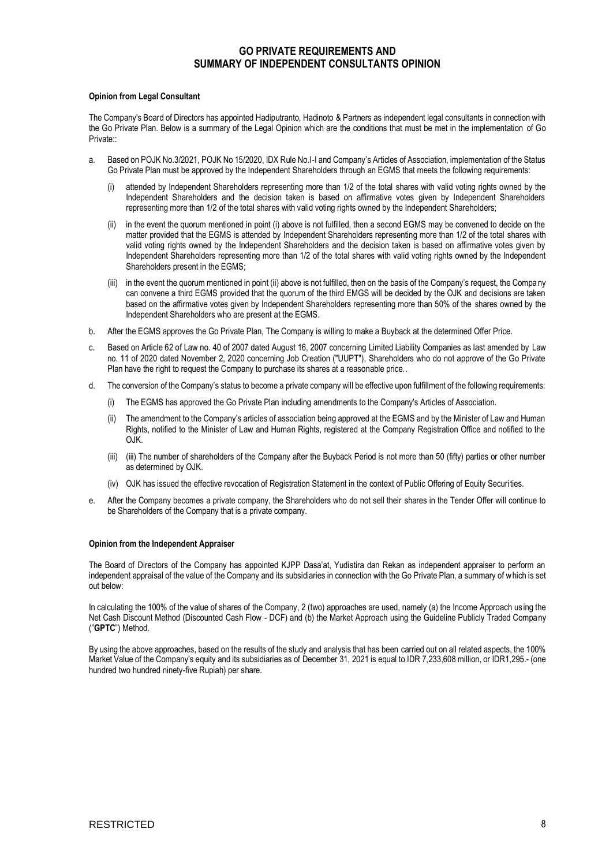# **GO PRIVATE REQUIREMENTS AND SUMMARY OF INDEPENDENT CONSULTANTS OPINION**

#### **Opinion from Legal Consultant**

The Company's Board of Directors has appointed Hadiputranto, Hadinoto & Partners as independent legal consultants in connection with the Go Private Plan. Below is a summary of the Legal Opinion which are the conditions that must be met in the implementation of Go Private<sup>..</sup>

- a. Based on POJK No.3/2021, POJK No 15/2020, IDX Rule No.I-I and Company's Articles of Association, implementation of the Status Go Private Plan must be approved by the Independent Shareholders through an EGMS that meets the following requirements:
	- attended by Independent Shareholders representing more than 1/2 of the total shares with valid voting rights owned by the Independent Shareholders and the decision taken is based on affirmative votes given by Independent Shareholders representing more than 1/2 of the total shares with valid voting rights owned by the Independent Shareholders;
	- (ii) in the event the quorum mentioned in point (i) above is not fulfilled, then a second EGMS may be convened to decide on the matter provided that the EGMS is attended by Independent Shareholders representing more than 1/2 of the total shares with valid voting rights owned by the Independent Shareholders and the decision taken is based on affirmative votes given by Independent Shareholders representing more than 1/2 of the total shares with valid voting rights owned by the Independent Shareholders present in the EGMS;
	- (iii) in the event the quorum mentioned in point (ii) above is not fulfilled, then on the basis of the Company's request, the Compa ny can convene a third EGMS provided that the quorum of the third EMGS will be decided by the OJK and decisions are taken based on the affirmative votes given by Independent Shareholders representing more than 50% of the shares owned by the Independent Shareholders who are present at the EGMS.
- b. After the EGMS approves the Go Private Plan, The Company is willing to make a Buyback at the determined Offer Price.
- c. Based on Article 62 of Law no. 40 of 2007 dated August 16, 2007 concerning Limited Liability Companies as last amended by Law no. 11 of 2020 dated November 2, 2020 concerning Job Creation ("UUPT"), Shareholders who do not approve of the Go Private Plan have the right to request the Company to purchase its shares at a reasonable price..
- d. The conversion of the Company's status to become a private company will be effective upon fulfillment of the following requirements:
	- (i) The EGMS has approved the Go Private Plan including amendments to the Company's Articles of Association.
	- (ii) The amendment to the Company's articles of association being approved at the EGMS and by the Minister of Law and Human Rights, notified to the Minister of Law and Human Rights, registered at the Company Registration Office and notified to the OJK.
	- (iii) (iii) The number of shareholders of the Company after the Buyback Period is not more than 50 (fifty) parties or other number as determined by OJK.
	- (iv) OJK has issued the effective revocation of Registration Statement in the context of Public Offering of Equity Securities.
- e. After the Company becomes a private company, the Shareholders who do not sell their shares in the Tender Offer will continue to be Shareholders of the Company that is a private company.

### **Opinion from the Independent Appraiser**

The Board of Directors of the Company has appointed KJPP Dasa'at, Yudistira dan Rekan as independent appraiser to perform an independent appraisal of the value of the Company and its subsidiaries in connection with the Go Private Plan, a summary of which is set out below:

In calculating the 100% of the value of shares of the Company, 2 (two) approaches are used, namely (a) the Income Approach us ing the Net Cash Discount Method (Discounted Cash Flow - DCF) and (b) the Market Approach using the Guideline Publicly Traded Company ("**GPTC**") Method.

By using the above approaches, based on the results of the study and analysis that has been carried out on all related aspects, the 100% Market Value of the Company's equity and its subsidiaries as of December 31, 2021 is equal to IDR 7,233,608 million, or IDR1,295.- (one hundred two hundred ninety-five Rupiah) per share.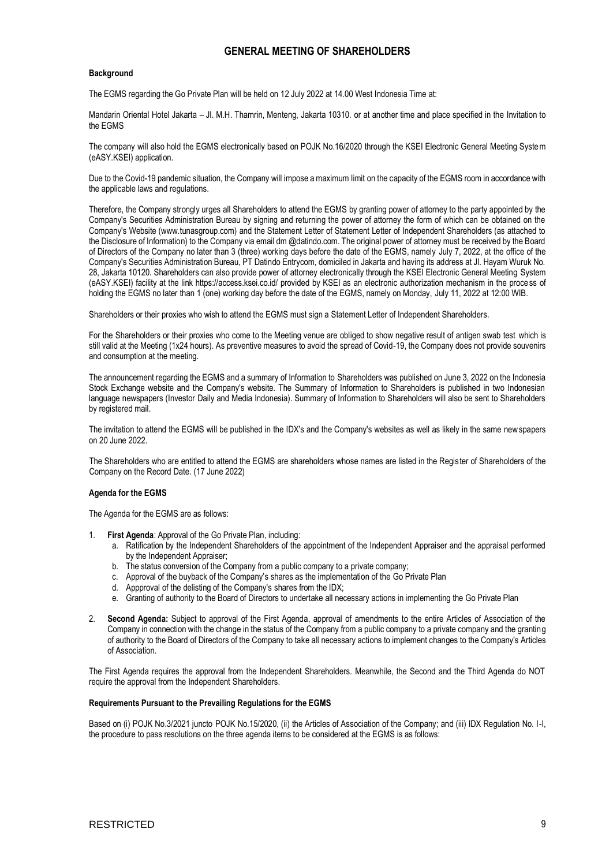# **GENERAL MEETING OF SHAREHOLDERS**

### **Background**

The EGMS regarding the Go Private Plan will be held on 12 July 2022 at 14.00 West Indonesia Time at:

Mandarin Oriental Hotel Jakarta – Jl. M.H. Thamrin, Menteng, Jakarta 10310. or at another time and place specified in the Invitation to the EGMS

The company will also hold the EGMS electronically based on POJK No.16/2020 through the KSEI Electronic General Meeting System (eASY.KSEI) application.

Due to the Covid-19 pandemic situation, the Company will impose a maximum limit on the capacity of the EGMS room in accordance with the applicable laws and regulations.

Therefore, the Company strongly urges all Shareholders to attend the EGMS by granting power of attorney to the party appointed by the Company's Securities Administration Bureau by signing and returning the power of attorney the form of which can be obtained on the Company's Website (www.tunasgroup.com) and the Statement Letter of Statement Letter of Independent Shareholders (as attached to the Disclosure of Information) to the Company via email dm @datindo.com. The original power of attorney must be received by the Board of Directors of the Company no later than 3 (three) working days before the date of the EGMS, namely July 7, 2022, at the office of the Company's Securities Administration Bureau, PT Datindo Entrycom, domiciled in Jakarta and having its address at Jl. Hayam Wuruk No. 28, Jakarta 10120. Shareholders can also provide power of attorney electronically through the KSEI Electronic General Meeting System (eASY.KSEI) facility at the link https://access.ksei.co.id/ provided by KSEI as an electronic authorization mechanism in the process of holding the EGMS no later than 1 (one) working day before the date of the EGMS, namely on Monday, July 11, 2022 at 12:00 WIB.

Shareholders or their proxies who wish to attend the EGMS must sign a Statement Letter of Independent Shareholders.

For the Shareholders or their proxies who come to the Meeting venue are obliged to show negative result of antigen swab test which is still valid at the Meeting (1x24 hours). As preventive measures to avoid the spread of Covid-19, the Company does not provide souvenirs and consumption at the meeting.

The announcement regarding the EGMS and a summary of Information to Shareholders was published on June 3, 2022 on the Indonesia Stock Exchange website and the Company's website. The Summary of Information to Shareholders is published in two Indonesian language newspapers (Investor Daily and Media Indonesia). Summary of Information to Shareholders will also be sent to Shareholders by registered mail.

The invitation to attend the EGMS will be published in the IDX's and the Company's websites as well as likely in the same newspapers on 20 June 2022.

The Shareholders who are entitled to attend the EGMS are shareholders whose names are listed in the Register of Shareholders of the Company on the Record Date. (17 June 2022)

### **Agenda for the EGMS**

The Agenda for the EGMS are as follows:

- 1. **First Agenda**: Approval of the Go Private Plan, including:
	- a. Ratification by the Independent Shareholders of the appointment of the Independent Appraiser and the appraisal performed by the Independent Appraiser;
	- b. The status conversion of the Company from a public company to a private company;
	- c. Approval of the buyback of the Company's shares as the implementation of the Go Private Plan
	- d. Appproval of the delisting of the Company's shares from the IDX;
	- e. Granting of authority to the Board of Directors to undertake all necessary actions in implementing the Go Private Plan
- 2. **Second Agenda:** Subject to approval of the First Agenda, approval of amendments to the entire Articles of Association of the Company in connection with the change in the status of the Company from a public company to a private company and the granting of authority to the Board of Directors of the Company to take all necessary actions to implement changes to the Company's Articles of Association.

The First Agenda requires the approval from the Independent Shareholders. Meanwhile, the Second and the Third Agenda do NOT require the approval from the Independent Shareholders.

#### **Requirements Pursuant to the Prevailing Regulations for the EGMS**

Based on (i) POJK No.3/2021 juncto POJK No.15/2020, (ii) the Articles of Association of the Company; and (iii) IDX Regulation No. I-I, the procedure to pass resolutions on the three agenda items to be considered at the EGMS is as follows: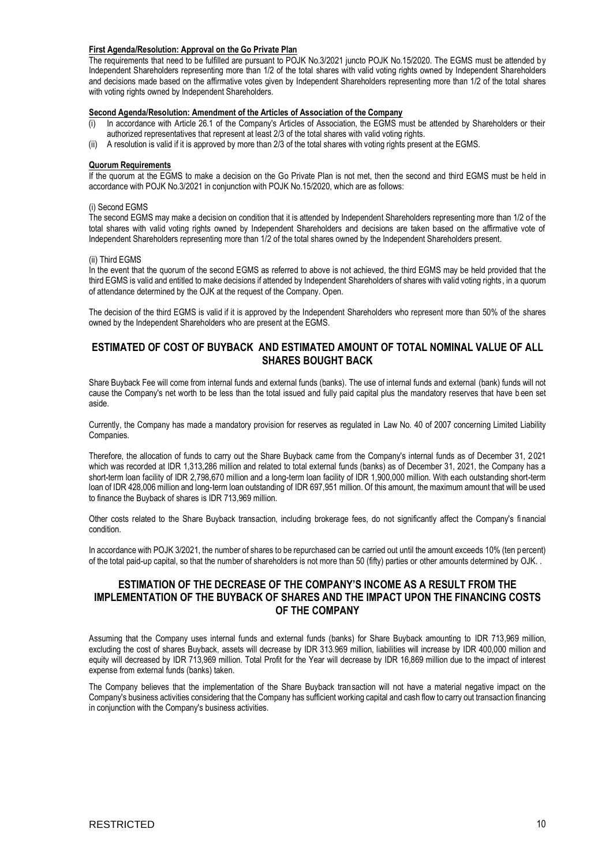#### **First Agenda/Resolution: Approval on the Go Private Plan**

The requirements that need to be fulfilled are pursuant to POJK No.3/2021 juncto POJK No.15/2020. The EGMS must be attended by Independent Shareholders representing more than 1/2 of the total shares with valid voting rights owned by Independent Shareholders and decisions made based on the affirmative votes given by Independent Shareholders representing more than 1/2 of the total shares with voting rights owned by Independent Shareholders.

### **Second Agenda/Resolution: Amendment of the Articles of Association of the Company**

- (i) In accordance with Article 26.1 of the Company's Articles of Association, the EGMS must be attended by Shareholders or their authorized representatives that represent at least 2/3 of the total shares with valid voting rights.
- (ii) A resolution is valid if it is approved by more than 2/3 of the total shares with voting rights present at the EGMS.

#### **Quorum Requirements**

If the quorum at the EGMS to make a decision on the Go Private Plan is not met, then the second and third EGMS must be h eld in accordance with POJK No.3/2021 in conjunction with POJK No.15/2020, which are as follows:

### (i) Second EGMS

The second EGMS may make a decision on condition that it is attended by Independent Shareholders representing more than 1/2 of the total shares with valid voting rights owned by Independent Shareholders and decisions are taken based on the affirmative vote of Independent Shareholders representing more than 1/2 of the total shares owned by the Independent Shareholders present.

### (ii) Third EGMS

In the event that the quorum of the second EGMS as referred to above is not achieved, the third EGMS may be held provided that the third EGMS is valid and entitled to make decisions if attended by Independent Shareholders of shares with valid voting rights , in a quorum of attendance determined by the OJK at the request of the Company. Open.

The decision of the third EGMS is valid if it is approved by the Independent Shareholders who represent more than 50% of the shares owned by the Independent Shareholders who are present at the EGMS.

## **ESTIMATED OF COST OF BUYBACK AND ESTIMATED AMOUNT OF TOTAL NOMINAL VALUE OF ALL SHARES BOUGHT BACK**

Share Buyback Fee will come from internal funds and external funds (banks). The use of internal funds and external (bank) funds will not cause the Company's net worth to be less than the total issued and fully paid capital plus the mandatory reserves that have b een set aside.

Currently, the Company has made a mandatory provision for reserves as regulated in Law No. 40 of 2007 concerning Limited Liability Companies.

Therefore, the allocation of funds to carry out the Share Buyback came from the Company's internal funds as of December 31, 2 021 which was recorded at IDR 1,313,286 million and related to total external funds (banks) as of December 31, 2021, the Company has a short-term loan facility of IDR 2,798,670 million and a long-term loan facility of IDR 1,900,000 million. With each outstanding short-term loan of IDR 428,006 million and long-term loan outstanding of IDR 697,951 million. Of this amount, the maximum amount that will be used to finance the Buyback of shares is IDR 713,969 million.

Other costs related to the Share Buyback transaction, including brokerage fees, do not significantly affect the Company's fi nancial condition.

In accordance with POJK 3/2021, the number of shares to be repurchased can be carried out until the amount exceeds 10% (ten percent) of the total paid-up capital, so that the number of shareholders is not more than 50 (fifty) parties or other amounts determined by OJK. .

# **ESTIMATION OF THE DECREASE OF THE COMPANY'S INCOME AS A RESULT FROM THE IMPLEMENTATION OF THE BUYBACK OF SHARES AND THE IMPACT UPON THE FINANCING COSTS OF THE COMPANY**

Assuming that the Company uses internal funds and external funds (banks) for Share Buyback amounting to IDR 713,969 million, excluding the cost of shares Buyback, assets will decrease by IDR 313.969 million, liabilities will increase by IDR 400,000 million and equity will decreased by IDR 713,969 million. Total Profit for the Year will decrease by IDR 16,869 million due to the impact of interest expense from external funds (banks) taken.

The Company believes that the implementation of the Share Buyback transaction will not have a material negative impact on the Company's business activities considering that the Company has sufficient working capital and cash flow to carry out transaction financing in conjunction with the Company's business activities.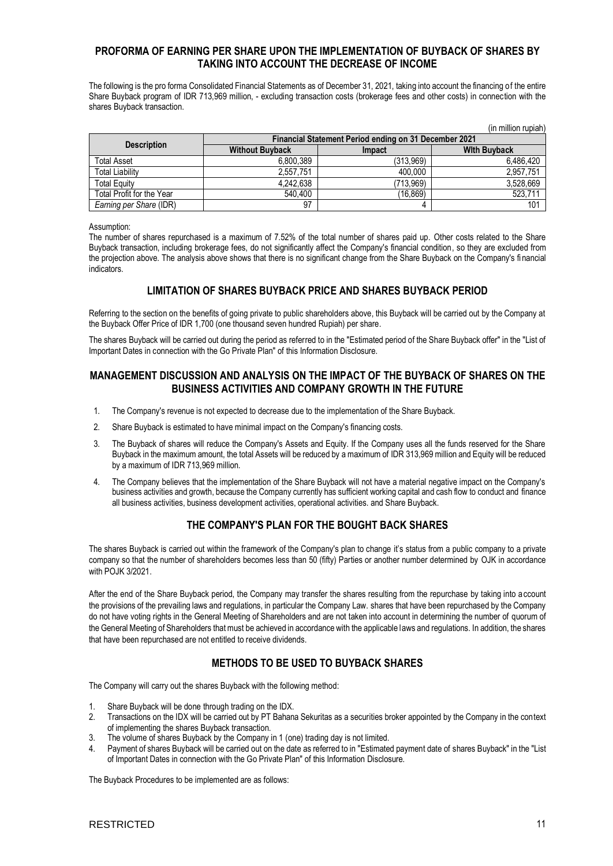# **PROFORMA OF EARNING PER SHARE UPON THE IMPLEMENTATION OF BUYBACK OF SHARES BY TAKING INTO ACCOUNT THE DECREASE OF INCOME**

The following is the pro forma Consolidated Financial Statements as of December 31, 2021, taking into account the financing of the entire Share Buyback program of IDR 713,969 million, - excluding transaction costs (brokerage fees and other costs) in connection with the shares Buyback transaction.

|                           |                                                       |               | (in million rupiah) |  |  |  |  |
|---------------------------|-------------------------------------------------------|---------------|---------------------|--|--|--|--|
|                           | Financial Statement Period ending on 31 December 2021 |               |                     |  |  |  |  |
| <b>Description</b>        | <b>Without Buyback</b>                                | <b>Impact</b> | <b>With Buyback</b> |  |  |  |  |
| Total Asset               | 6.800.389                                             | (313.969)     | 6,486,420           |  |  |  |  |
| Total Liability           | 2,557,751                                             | 400.000       | 2,957,751           |  |  |  |  |
| <b>Total Equity</b>       | 4.242.638                                             | (713.969)     | 3,528,669           |  |  |  |  |
| Total Profit for the Year | 540.400                                               | (16.869)      | 523,711             |  |  |  |  |
| Earning per Share (IDR)   | 97                                                    |               | 101                 |  |  |  |  |

### Assumption:

The number of shares repurchased is a maximum of 7.52% of the total number of shares paid up. Other costs related to the Share Buyback transaction, including brokerage fees, do not significantly affect the Company's financial condition, so they are excluded from the projection above. The analysis above shows that there is no significant change from the Share Buyback on the Company's fi nancial indicators.

# **LIMITATION OF SHARES BUYBACK PRICE AND SHARES BUYBACK PERIOD**

Referring to the section on the benefits of going private to public shareholders above, this Buyback will be carried out by the Company at the Buyback Offer Price of IDR 1,700 (one thousand seven hundred Rupiah) per share.

The shares Buyback will be carried out during the period as referred to in the "Estimated period of the Share Buyback offer" in the "List of Important Dates in connection with the Go Private Plan" of this Information Disclosure.

## **MANAGEMENT DISCUSSION AND ANALYSIS ON THE IMPACT OF THE BUYBACK OF SHARES ON THE BUSINESS ACTIVITIES AND COMPANY GROWTH IN THE FUTURE**

- 1. The Company's revenue is not expected to decrease due to the implementation of the Share Buyback.
- 2. Share Buyback is estimated to have minimal impact on the Company's financing costs.
- 3. The Buyback of shares will reduce the Company's Assets and Equity. If the Company uses all the funds reserved for the Share Buyback in the maximum amount, the total Assets will be reduced by a maximum of IDR 313,969 million and Equity will be reduced by a maximum of IDR 713,969 million.
- 4. The Company believes that the implementation of the Share Buyback will not have a material negative impact on the Company's business activities and growth, because the Company currently has sufficient working capital and cash flow to conduct and finance all business activities, business development activities, operational activities. and Share Buyback.

# **THE COMPANY'S PLAN FOR THE BOUGHT BACK SHARES**

The shares Buyback is carried out within the framework of the Company's plan to change it's status from a public company to a private company so that the number of shareholders becomes less than 50 (fifty) Parties or another number determined by OJK in accordance with POJK 3/2021.

After the end of the Share Buyback period, the Company may transfer the shares resulting from the repurchase by taking into account the provisions of the prevailing laws and regulations, in particular the Company Law. shares that have been repurchased by the Company do not have voting rights in the General Meeting of Shareholders and are not taken into account in determining the number of quorum of the General Meeting of Shareholders that must be achieved in accordance with the applicable laws and regulations. In addition, the shares that have been repurchased are not entitled to receive dividends.

# **METHODS TO BE USED TO BUYBACK SHARES**

The Company will carry out the shares Buyback with the following method:

- 1. Share Buyback will be done through trading on the IDX.
- 2. Transactions on the IDX will be carried out by PT Bahana Sekuritas as a securities broker appointed by the Company in the context of implementing the shares Buyback transaction.
- 3. The volume of shares Buyback by the Company in 1 (one) trading day is not limited.
- 4. Payment of shares Buyback will be carried out on the date as referred to in "Estimated payment date of shares Buyback" in the "List of Important Dates in connection with the Go Private Plan" of this Information Disclosure.

The Buyback Procedures to be implemented are as follows: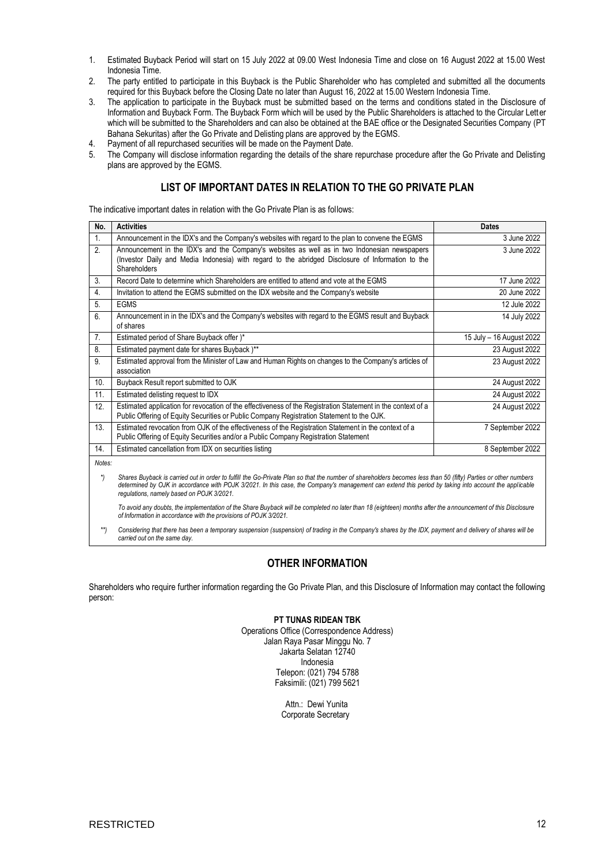- 1. Estimated Buyback Period will start on 15 July 2022 at 09.00 West Indonesia Time and close on 16 August 2022 at 15.00 West Indonesia Time.
- 2. The party entitled to participate in this Buyback is the Public Shareholder who has completed and submitted all the documents required for this Buyback before the Closing Date no later than August 16, 2022 at 15.00 Western Indonesia Time.
- 3. The application to participate in the Buyback must be submitted based on the terms and conditions stated in the Disclosure of Information and Buyback Form. The Buyback Form which will be used by the Public Shareholders is attached to the Circular Lett er which will be submitted to the Shareholders and can also be obtained at the BAE office or the Designated Securities Company (PT Bahana Sekuritas) after the Go Private and Delisting plans are approved by the EGMS.
- 4. Payment of all repurchased securities will be made on the Payment Date.
- 5. The Company will disclose information regarding the details of the share repurchase procedure after the Go Private and Delisting plans are approved by the EGMS.

# **LIST OF IMPORTANT DATES IN RELATION TO THE GO PRIVATE PLAN**

The indicative important dates in relation with the Go Private Plan is as follows:

| No.            | <b>Activities</b>                                                                                                                                                                                                        | <b>Dates</b>             |
|----------------|--------------------------------------------------------------------------------------------------------------------------------------------------------------------------------------------------------------------------|--------------------------|
| 1.             | Announcement in the IDX's and the Company's websites with regard to the plan to convene the EGMS                                                                                                                         | 3 June 2022              |
| 2.             | Announcement in the IDX's and the Company's websites as well as in two Indonesian newspapers<br>(Investor Daily and Media Indonesia) with regard to the abridged Disclosure of Information to the<br><b>Shareholders</b> | 3 June 2022              |
| 3.             | Record Date to determine which Shareholders are entitled to attend and vote at the EGMS                                                                                                                                  | 17 June 2022             |
| 4.             | Invitation to attend the EGMS submitted on the IDX website and the Company's website                                                                                                                                     | 20 June 2022             |
| 5.             | <b>EGMS</b>                                                                                                                                                                                                              | 12 Jule 2022             |
| 6.             | Announcement in in the IDX's and the Company's websites with regard to the EGMS result and Buyback<br>of shares                                                                                                          | 14 July 2022             |
| 7 <sub>1</sub> | Estimated period of Share Buyback offer )*                                                                                                                                                                               | 15 July - 16 August 2022 |
| 8.             | Estimated payment date for shares Buyback)**                                                                                                                                                                             | 23 August 2022           |
| 9.             | Estimated approval from the Minister of Law and Human Rights on changes to the Company's articles of<br>association                                                                                                      | 23 August 2022           |
| 10.            | Buyback Result report submitted to OJK                                                                                                                                                                                   | 24 August 2022           |
| 11.            | Estimated delisting request to IDX                                                                                                                                                                                       | 24 August 2022           |
| 12.            | Estimated application for revocation of the effectiveness of the Registration Statement in the context of a<br>Public Offering of Equity Securities or Public Company Registration Statement to the OJK.                 | 24 August 2022           |
| 13.            | Estimated revocation from OJK of the effectiveness of the Registration Statement in the context of a<br>Public Offering of Equity Securities and/or a Public Company Registration Statement                              | 7 September 2022         |
| 14.            | Estimated cancellation from IDX on securities listing                                                                                                                                                                    | 8 September 2022         |
| Notes:         |                                                                                                                                                                                                                          |                          |

*\*) Shares Buyback is carried out in order to fulfill the Go-Private Plan so that the number of shareholders becomes less than 50 (fifty) Parties or other numbers*  determined by OJK in accordance with POJK 3/2021. In this case, the Company's management can extend this period by taking into account the applicable *regulations, namely based on POJK 3/2021.*

*To avoid any doubts, the implementation of the Share Buyback will be completed no later than 18 (eighteen) months after the announcement of this Disclosure of Information in accordance with the provisions of POJK 3/2021.*

*\*\*) Considering that there has been a temporary suspension (suspension) of trading in the Company's shares by the IDX, payment an d delivery of shares will be carried out on the same day.*

# **OTHER INFORMATION**

Shareholders who require further information regarding the Go Private Plan, and this Disclosure of Information may contact the following person:

### **PT TUNAS RIDEAN TBK**

Operations Office (Correspondence Address) Jalan Raya Pasar Minggu No. 7 Jakarta Selatan 12740 Indonesia Telepon: (021) 794 5788 Faksimili: (021) 799 5621

> Attn.: Dewi Yunita Corporate Secretary